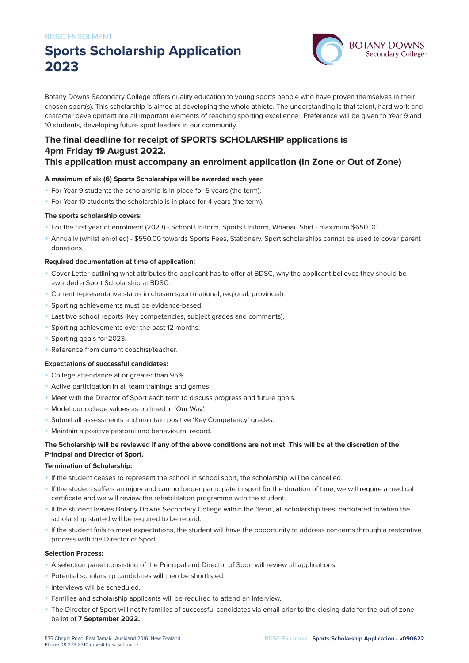# **Sports Scholarship Application 2023**



Botany Downs Secondary College offers quality education to young sports people who have proven themselves in their chosen sport(s). This scholarship is aimed at developing the whole athlete. The understanding is that talent, hard work and character development are all important elements of reaching sporting excellence. Preference will be given to Year 9 and 10 students, developing future sport leaders in our community.

### **The final deadline for receipt of SPORTS SCHOLARSHIP applications is 4pm Friday 19 August 2022.**

### **This application must accompany an enrolment application (In Zone or Out of Zone)**

### **A maximum of six (6) Sports Scholarships will be awarded each year.**

- For Year 9 students the scholarship is in place for 5 years (the term).
- For Year 10 students the scholarship is in place for 4 years (the term).

### **The sports scholarship covers:**

- For the first year of enrolment (2023) School Uniform, Sports Uniform, Whānau Shirt maximum \$650.00
- Annually (whilst enrolled) \$550.00 towards Sports Fees, Stationery. Sport scholarships cannot be used to cover parent donations.

#### **Required documentation at time of application:**

- Cover Letter outlining what attributes the applicant has to offer at BDSC, why the applicant believes they should be awarded a Sport Scholarship at BDSC.
- Current representative status in chosen sport (national, regional, provincial).
- Sporting achievements must be evidence-based.
- Last two school reports (Key competencies, subject grades and comments).
- Sporting achievements over the past 12 months.
- Sporting goals for 2023.
- Reference from current coach(s)/teacher.

#### **Expectations of successful candidates:**

- College attendance at or greater than 95%.
- Active participation in all team trainings and games.
- Meet with the Director of Sport each term to discuss progress and future goals.
- Model our college values as outlined in 'Our Way'.
- Submit all assessments and maintain positive 'Key Competency' grades.
- Maintain a positive pastoral and behavioural record.

### **The Scholarship will be reviewed if any of the above conditions are not met. This will be at the discretion of the Principal and Director of Sport.**

#### **Termination of Scholarship:**

- If the student ceases to represent the school in school sport, the scholarship will be cancelled.
- If the student suffers an injury and can no longer participate in sport for the duration of time, we will require a medical certificate and we will review the rehabilitation programme with the student.
- If the student leaves Botany Downs Secondary College within the 'term', all scholarship fees, backdated to when the scholarship started will be required to be repaid.
- If the student fails to meet expectations, the student will have the opportunity to address concerns through a restorative process with the Director of Sport.

#### **Selection Process:**

- A selection panel consisting of the Principal and Director of Sport will review all applications.
- Potential scholarship candidates will then be shortlisted.
- Interviews will be scheduled.
- Families and scholarship applicants will be required to attend an interview.
- The Director of Sport will notify families of successful candidates via email prior to the closing date for the out of zone ballot of **7 September 2022.**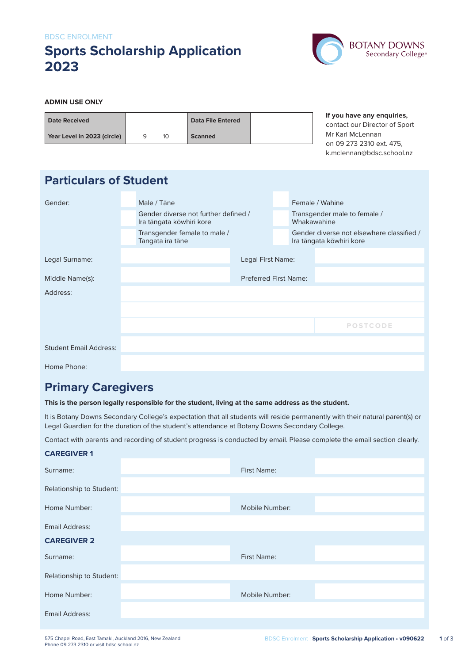### BDSC ENROLMENT **Sports Scholarship Application 2023**



### **ADMIN USE ONLY**

| Date Received               |    | <b>Data File Entered</b> |  |
|-----------------------------|----|--------------------------|--|
| Year Level in 2023 (circle) | 10 | Scanned                  |  |

**If you have any enquiries,** contact our Director of Sport Mr Karl McLennan on 09 273 2310 ext. 475, k.mclennan@bdsc.school.nz

| <b>Particulars of Student</b> |  |                                                                  |                              |  |                                             |                                                                       |
|-------------------------------|--|------------------------------------------------------------------|------------------------------|--|---------------------------------------------|-----------------------------------------------------------------------|
| Gender:                       |  | Male / Tāne                                                      |                              |  | Female / Wahine                             |                                                                       |
|                               |  | Gender diverse not further defined /<br>Ira tāngata kōwhiri kore |                              |  | Transgender male to female /<br>Whakawahine |                                                                       |
|                               |  | Transgender female to male /<br>Tangata ira tāne                 |                              |  |                                             | Gender diverse not elsewhere classified /<br>Ira tāngata kōwhiri kore |
| Legal Surname:                |  |                                                                  | Legal First Name:            |  |                                             |                                                                       |
| Middle Name(s):               |  |                                                                  | <b>Preferred First Name:</b> |  |                                             |                                                                       |
| Address:                      |  |                                                                  |                              |  |                                             |                                                                       |
|                               |  |                                                                  |                              |  |                                             |                                                                       |
|                               |  |                                                                  |                              |  |                                             | <b>POSTCODE</b>                                                       |
| <b>Student Email Address:</b> |  |                                                                  |                              |  |                                             |                                                                       |
| Home Phone:                   |  |                                                                  |                              |  |                                             |                                                                       |

### **Primary Caregivers**

### **This is the person legally responsible for the student, living at the same address as the student.**

It is Botany Downs Secondary College's expectation that all students will reside permanently with their natural parent(s) or Legal Guardian for the duration of the student's attendance at Botany Downs Secondary College.

Contact with parents and recording of student progress is conducted by email. Please complete the email section clearly.

| <b>CAREGIVER 1</b>       |                |  |
|--------------------------|----------------|--|
| Surname:                 | First Name:    |  |
| Relationship to Student: |                |  |
| Home Number:             | Mobile Number: |  |
| <b>Email Address:</b>    |                |  |
| <b>CAREGIVER 2</b>       |                |  |
| Surname:                 | First Name:    |  |
| Relationship to Student: |                |  |
| Home Number:             | Mobile Number: |  |
| Email Address:           |                |  |
|                          |                |  |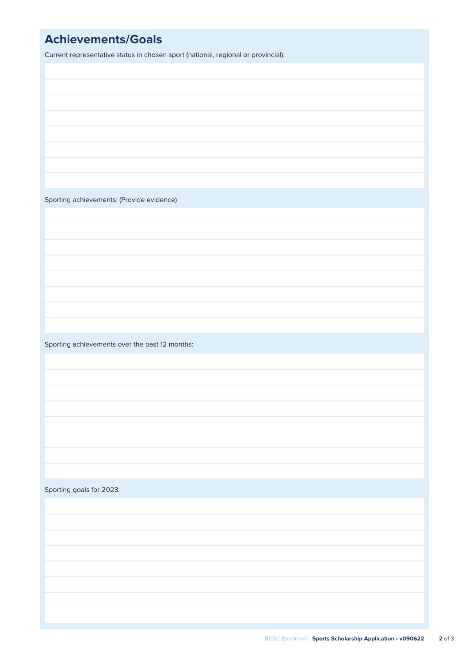## **Achievements/Goals**

Current representative status in chosen sport (national, regional or provincial):

Sporting achievements: (Provide evidence)

Sporting achievements over the past 12 months:

Sporting goals for 2023: